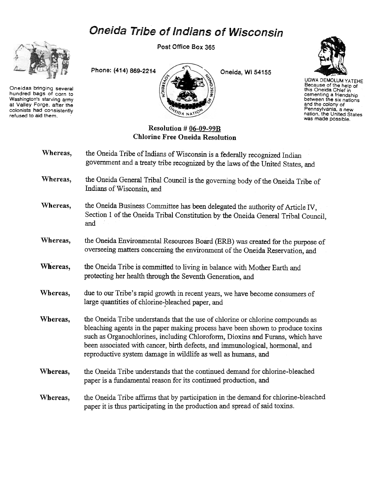# Oneida Tribe of Indians of Wisconsin

Post Office Box 365



Oneidas bringing several hundred bags of corn to Washington's starving army at Valley Forge, afterttie colonists had consistently<br>refused to aid them

Phone: (414) 869-2214 Oneida, Wi 54155 **VERGER** 



UGWA DEMOLUM YATEHE<br>Because of the help of<br>this Oneida Chief in<br>cementing a friendship<br>between the six nations<br>and the colony of Pennsylvania. a new nation, the United States was made possible.

# Resolution # 06-09-99B Chlorine Free Oneida Resolution

FIDA NATIO

| Whereas, | the Oneida Tribe of Indians of Wisconsin is a federally recognized Indian<br>government and a treaty tribe recognized by the laws of the United States, and                                                                                                                                                                                                                                        |
|----------|----------------------------------------------------------------------------------------------------------------------------------------------------------------------------------------------------------------------------------------------------------------------------------------------------------------------------------------------------------------------------------------------------|
| Whereas, | the Oneida General Tribal Council is the governing body of the Oneida Tribe of<br>Indians of Wisconsin, and                                                                                                                                                                                                                                                                                        |
| Whereas, | the Oneida Business Committee has been delegated the authority of Article IV,<br>Section 1 of the Oneida Tribal Constitution by the Oneida General Tribal Council,<br>and                                                                                                                                                                                                                          |
| Whereas, | the Oneida Environmental Resources Board (ERB) was created for the purpose of<br>overseeing matters concerning the environment of the Oneida Reservation, and                                                                                                                                                                                                                                      |
| Whereas, | the Oneida Tribe is committed to living in balance with Mother Earth and<br>protecting her health through the Seventh Generation, and                                                                                                                                                                                                                                                              |
| Whereas, | due to our Tribe's rapid growth in recent years, we have become consumers of<br>large quantities of chlorine-bleached paper, and                                                                                                                                                                                                                                                                   |
| Whereas, | the Oneida Tribe understands that the use of chlorine or chlorine compounds as<br>bleaching agents in the paper making process have been shown to produce toxins<br>such as Organochlorines, including Chloroform, Dioxins and Furans, which have<br>been associated with cancer, birth defects, and immunological, hormonal, and<br>reproductive system damage in wildlife as well as humans, and |
| Whereas, | the Oneida Tribe understands that the continued demand for chlorine-bleached<br>paper is a fundamental reason for its continued production, and                                                                                                                                                                                                                                                    |
| Whereas, | the Oneida Tribe affirms that by participation in the demand for chlorine-bleached<br>paper it is thus participating in the production and spread of said toxins.                                                                                                                                                                                                                                  |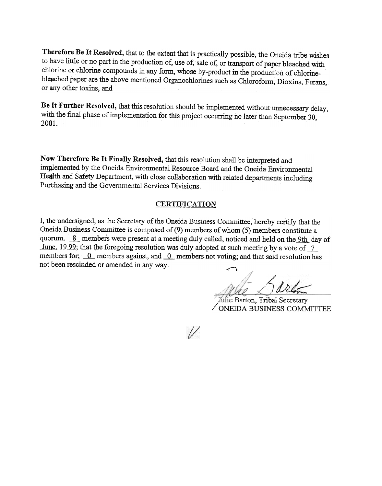Therefore Be It Resolved, that to the extent that is practically possible, the Oneida tribe wishes to have little or no part in the production of, use of, sale of, or transport of paper bleached with chlorine or chlorine compounds in any fonn, whose by-product in the production of chlorinebleached paper are the above mentioned Organochlorines such as Chloroform, Dioxins, Furans, or any other toxins, and

Be It Further Resolved, that this resolution should be implemented without unnecessary delay, with the final phase of implementation for this project occurring no later than September 30, 2001.

Now Therefore Be It Finally Resolved, that this resolution shall be interpreted and implemented by the Oneida Environmental Resource Board and the Oneida Environmenta Health and Safety Department, with close collaboration with related departments including Purchasing and the Governmental Services Divisions.

### **CERTIFICATION**

I, the undersigned, as the Secretary of the Oneida Business Committee, hereby certify that the Oneida Business Committee is composed of (9) members of whom (5) members constitute a quorum.  $8$ - members were present at a meeting duly called, noticed and held on the 9th day of June, 19.99; that the foregoing resolution was duly adopted at such meeting by a vote of  $\frac{7}{1}$ members for;  $\overline{\phantom{a}}0$  members against, and  $\overline{\phantom{a}}0$  members not voting; and that said resolution has not been rescinded or amended in any way.

tulie Barton, Tribal Secretary / ONEillA BUSINESS COMMITTEE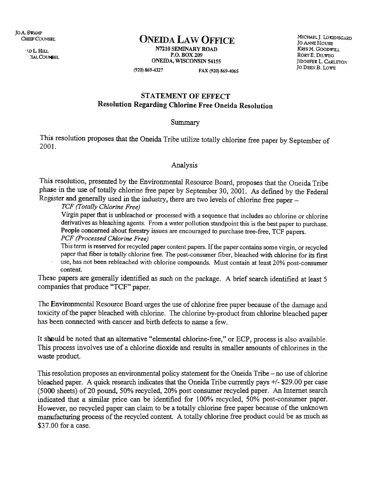'TDL.HIU. े **TAL COUNSEL** 

# CHIEF COUNSEL CHIEF COUNSEL MICHAEL AND SUITE COUNSEL CHIEF COUNSEL CONSERVED CANNEL CONSERVED CANNEL ON A LAW OFFICE

N7210 SEMINARY ROAD P.O. BOX 209 ONEIDA, WISCONSIN 54155

JOANNE HOUSE KRIS M. GOODWILL RORYE, DrLWEG JENNIFER L. CARLETON JO DEEN B. LOWE

(920) 869-4327 FAX (920) 869-4065

## STATEMENT OF EFFECT Resolution Regarding Chlorine Free Oneida Resolution

#### Summary

This resolution proposes that the Oneida Tribe utilize totally chlorine free paper by September of 2001.

#### Analysis

This resolution, presented by the Environmental Resource Board, proposes that the Oneida Tribe phase in the use of totally chlorine free paper by September 30, 2001. As defined by the Federal Register and generally used in the industry, there are two levels of chlorine free paper -

TCF (Totally Chlorine Free)

Virgin paper that is unbleached or processed with a sequence that includes no chlorine or chlorine derivatives as bleaching agents. From a water pollution standpoint this is the best paper to purchase. People concerned about forestry issues are encouraged to purchase tree-free, TCF papers.

PCF (Processed Chlorine Free)

This term is reserved for recycled paper content papers. If the paper contains some virgin, or recycled paper that fiber is totally chlorine free. The post-consumer fiber, bleached with chlorine for its first use, has not been rebleached with chlorine compounds. Must contain at least 20% post-consumer content.

These papers are generally identified as such on the package. A brief search identified at least 5 companies that produce "TCF" paper.

The Environmental Resource Board urges the use of chlorine free paper because of the damage and toxicity of the paper bleached with chlorine. The chlorine by-product from chlorine bleached paper has been connected with cancer and birth defects to name a few.

It should be noted that an alternative "elemental chlorine-free," or ECP, process is also available. This process involves use of a chlorine dioxide and results in smaller amounts of chlorines in the waste product.

This resolution proposes an environmental policy statement for the Oneida Tribe  $-$  no use of chlorine bleached paper. A quick research indicates that the Oneida Tribe currently pays +/- \$29.00 per case (5000 sheets) of 20 pound, 50% recycled, 20% post consumer recycled paper. An Internet search indicated that a similar price can be identified for 100% recycled, 50% post-consumer paper. However, no recycled paper can claim to be a totally chlorine free paper because of the unknown manufacturing process of the recycled content. A totally chlorine free product could be as much as \$37.00 for a case.